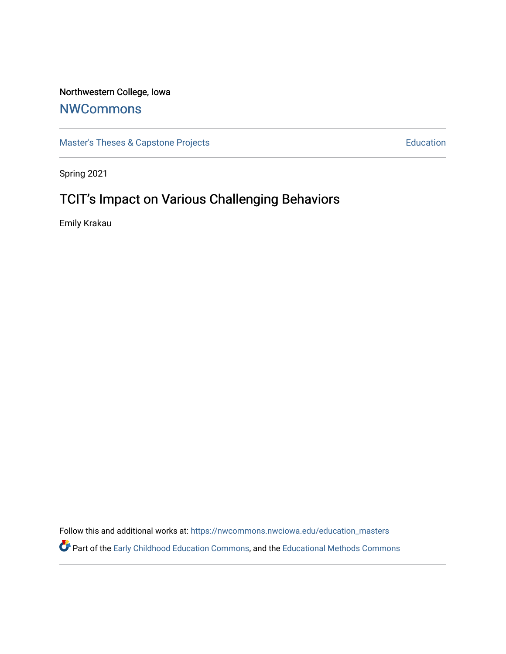## Northwestern College, Iowa

# **[NWCommons](https://nwcommons.nwciowa.edu/)**

[Master's Theses & Capstone Projects](https://nwcommons.nwciowa.edu/education_masters) **Education** Education

Spring 2021

# TCIT's Impact on Various Challenging Behaviors

Emily Krakau

Follow this and additional works at: [https://nwcommons.nwciowa.edu/education\\_masters](https://nwcommons.nwciowa.edu/education_masters?utm_source=nwcommons.nwciowa.edu%2Feducation_masters%2F292&utm_medium=PDF&utm_campaign=PDFCoverPages)

Part of the [Early Childhood Education Commons,](http://network.bepress.com/hgg/discipline/1377?utm_source=nwcommons.nwciowa.edu%2Feducation_masters%2F292&utm_medium=PDF&utm_campaign=PDFCoverPages) and the [Educational Methods Commons](http://network.bepress.com/hgg/discipline/1227?utm_source=nwcommons.nwciowa.edu%2Feducation_masters%2F292&utm_medium=PDF&utm_campaign=PDFCoverPages)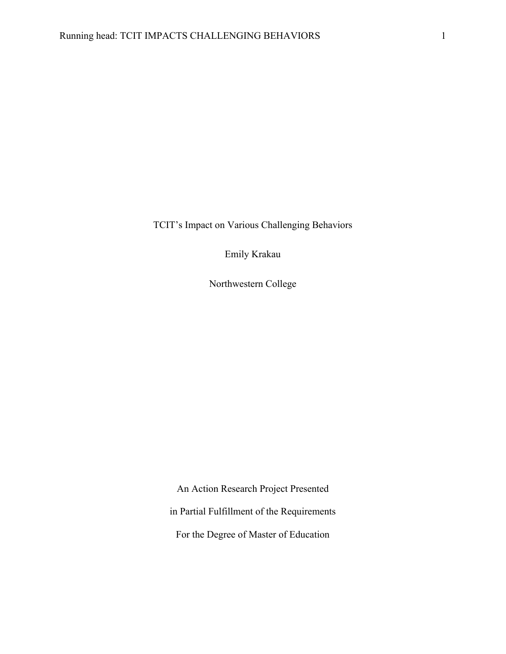TCIT's Impact on Various Challenging Behaviors

Emily Krakau

Northwestern College

An Action Research Project Presented in Partial Fulfillment of the Requirements For the Degree of Master of Education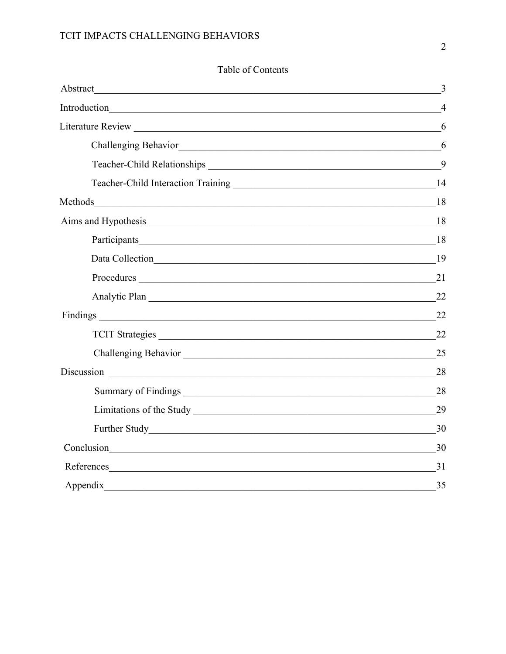## TCIT IMPACTS CHALLENGING BEHAVIORS

| Abstract                                                                                                                           | 3              |
|------------------------------------------------------------------------------------------------------------------------------------|----------------|
|                                                                                                                                    | $\overline{4}$ |
|                                                                                                                                    | 6              |
|                                                                                                                                    | 6              |
|                                                                                                                                    | 9              |
|                                                                                                                                    |                |
|                                                                                                                                    |                |
|                                                                                                                                    |                |
|                                                                                                                                    | 18             |
|                                                                                                                                    | -19            |
|                                                                                                                                    | 21             |
| Analytic Plan                                                                                                                      | 22             |
|                                                                                                                                    | 22             |
| TCIT Strategies                                                                                                                    | 22             |
|                                                                                                                                    | 25             |
|                                                                                                                                    | 28             |
|                                                                                                                                    | 28             |
|                                                                                                                                    | 29             |
|                                                                                                                                    | 30             |
| Conclusion<br><u> 1989 - Andrea Santa Alemania, amerikana amerikana amerikana amerikana amerikana amerikana amerikana amerikan</u> | 30             |
| References<br><u> 1989 - Johann Stoff, amerikansk politiker (d. 1989)</u>                                                          | 31             |
| Appendix                                                                                                                           | 35             |

## Table of Contents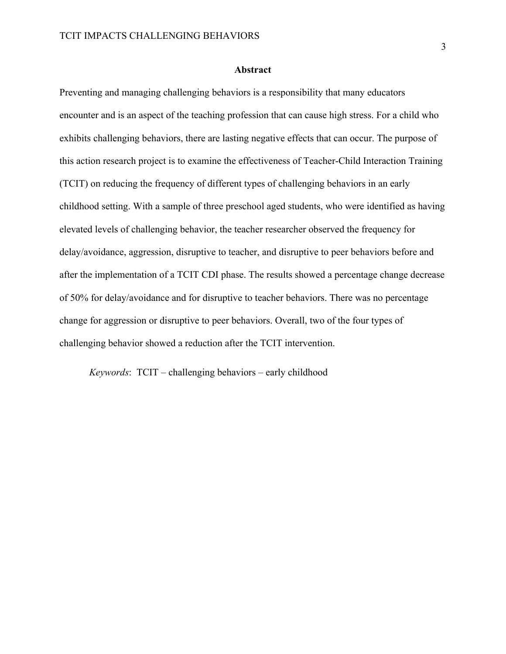#### **Abstract**

Preventing and managing challenging behaviors is a responsibility that many educators encounter and is an aspect of the teaching profession that can cause high stress. For a child who exhibits challenging behaviors, there are lasting negative effects that can occur. The purpose of this action research project is to examine the effectiveness of Teacher-Child Interaction Training (TCIT) on reducing the frequency of different types of challenging behaviors in an early childhood setting. With a sample of three preschool aged students, who were identified as having elevated levels of challenging behavior, the teacher researcher observed the frequency for delay/avoidance, aggression, disruptive to teacher, and disruptive to peer behaviors before and after the implementation of a TCIT CDI phase. The results showed a percentage change decrease of 50% for delay/avoidance and for disruptive to teacher behaviors. There was no percentage change for aggression or disruptive to peer behaviors. Overall, two of the four types of challenging behavior showed a reduction after the TCIT intervention.

*Keywords*: TCIT – challenging behaviors – early childhood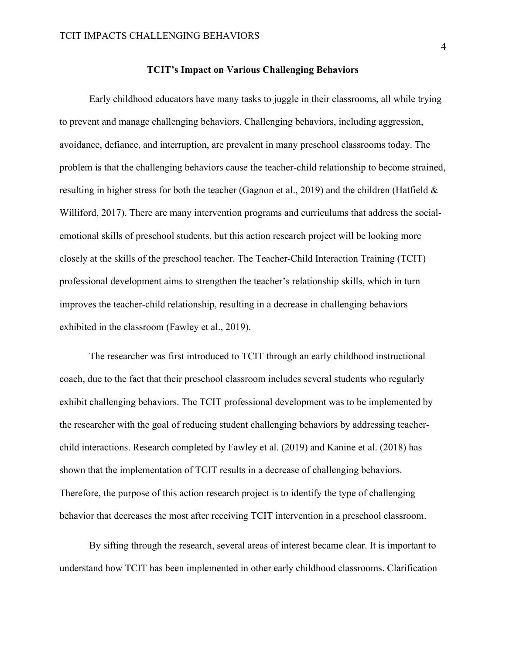#### **TCIT's Impact on Various Challenging Behaviors**

Early childhood educators have many tasks to juggle in their classrooms, all while trying to prevent and manage challenging behaviors. Challenging behaviors, including aggression, avoidance, defiance, and interruption, are prevalent in many preschool classrooms today. The problem is that the challenging behaviors cause the teacher-child relationship to become strained, resulting in higher stress for both the teacher (Gagnon et al., 2019) and the children (Hatfield & Williford, 2017). There are many intervention programs and curriculums that address the socialemotional skills of preschool students, but this action research project will be looking more closely at the skills of the preschool teacher. The Teacher-Child Interaction Training (TCIT) professional development aims to strengthen the teacher's relationship skills, which in turn improves the teacher-child relationship, resulting in a decrease in challenging behaviors exhibited in the classroom (Fawley et al., 2019).

The researcher was first introduced to TCIT through an early childhood instructional coach, due to the fact that their preschool classroom includes several students who regularly exhibit challenging behaviors. The TCIT professional development was to be implemented by the researcher with the goal of reducing student challenging behaviors by addressing teacherchild interactions. Research completed by Fawley et al. (2019) and Kanine et al. (2018) has shown that the implementation of TCIT results in a decrease of challenging behaviors. Therefore, the purpose of this action research project is to identify the type of challenging behavior that decreases the most after receiving TCIT intervention in a preschool classroom.

By sifting through the research, several areas of interest became clear. It is important to understand how TCIT has been implemented in other early childhood classrooms. Clarification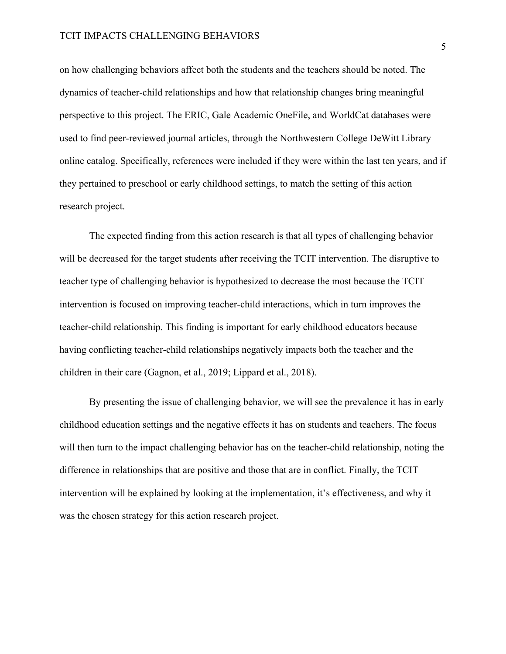on how challenging behaviors affect both the students and the teachers should be noted. The dynamics of teacher-child relationships and how that relationship changes bring meaningful perspective to this project. The ERIC, Gale Academic OneFile, and WorldCat databases were used to find peer-reviewed journal articles, through the Northwestern College DeWitt Library online catalog. Specifically, references were included if they were within the last ten years, and if they pertained to preschool or early childhood settings, to match the setting of this action research project.

The expected finding from this action research is that all types of challenging behavior will be decreased for the target students after receiving the TCIT intervention. The disruptive to teacher type of challenging behavior is hypothesized to decrease the most because the TCIT intervention is focused on improving teacher-child interactions, which in turn improves the teacher-child relationship. This finding is important for early childhood educators because having conflicting teacher-child relationships negatively impacts both the teacher and the children in their care (Gagnon, et al., 2019; Lippard et al., 2018).

By presenting the issue of challenging behavior, we will see the prevalence it has in early childhood education settings and the negative effects it has on students and teachers. The focus will then turn to the impact challenging behavior has on the teacher-child relationship, noting the difference in relationships that are positive and those that are in conflict. Finally, the TCIT intervention will be explained by looking at the implementation, it's effectiveness, and why it was the chosen strategy for this action research project.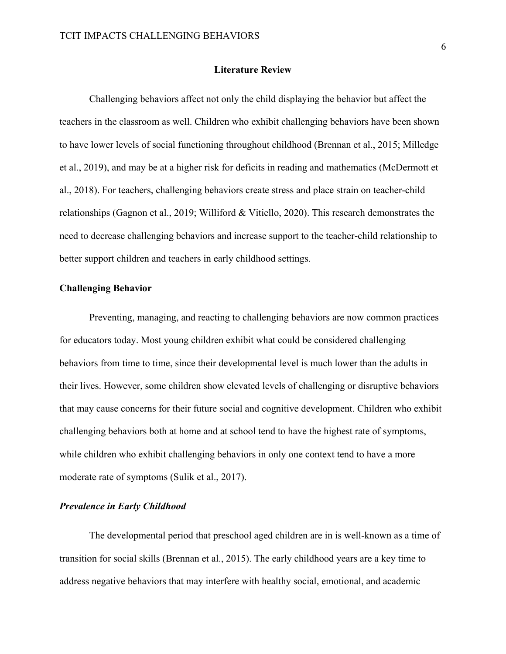#### **Literature Review**

Challenging behaviors affect not only the child displaying the behavior but affect the teachers in the classroom as well. Children who exhibit challenging behaviors have been shown to have lower levels of social functioning throughout childhood (Brennan et al., 2015; Milledge et al., 2019), and may be at a higher risk for deficits in reading and mathematics (McDermott et al., 2018). For teachers, challenging behaviors create stress and place strain on teacher-child relationships (Gagnon et al., 2019; Williford & Vitiello, 2020). This research demonstrates the need to decrease challenging behaviors and increase support to the teacher-child relationship to better support children and teachers in early childhood settings.

#### **Challenging Behavior**

Preventing, managing, and reacting to challenging behaviors are now common practices for educators today. Most young children exhibit what could be considered challenging behaviors from time to time, since their developmental level is much lower than the adults in their lives. However, some children show elevated levels of challenging or disruptive behaviors that may cause concerns for their future social and cognitive development. Children who exhibit challenging behaviors both at home and at school tend to have the highest rate of symptoms, while children who exhibit challenging behaviors in only one context tend to have a more moderate rate of symptoms (Sulik et al., 2017).

#### *Prevalence in Early Childhood*

The developmental period that preschool aged children are in is well-known as a time of transition for social skills (Brennan et al., 2015). The early childhood years are a key time to address negative behaviors that may interfere with healthy social, emotional, and academic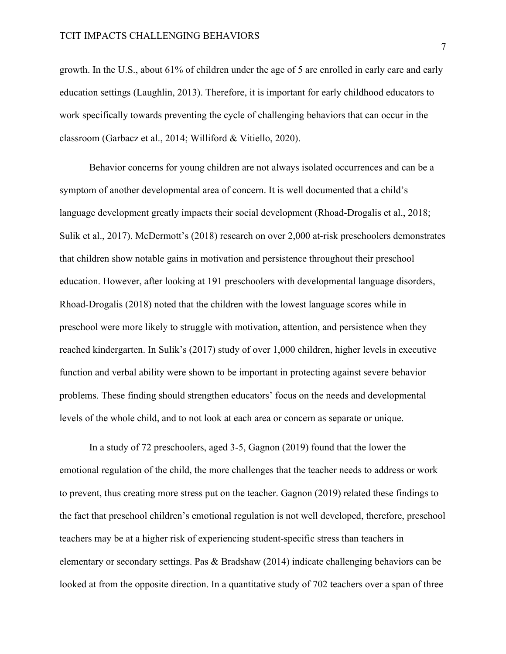growth. In the U.S., about 61% of children under the age of 5 are enrolled in early care and early education settings (Laughlin, 2013). Therefore, it is important for early childhood educators to work specifically towards preventing the cycle of challenging behaviors that can occur in the classroom (Garbacz et al., 2014; Williford & Vitiello, 2020).

Behavior concerns for young children are not always isolated occurrences and can be a symptom of another developmental area of concern. It is well documented that a child's language development greatly impacts their social development (Rhoad-Drogalis et al., 2018; Sulik et al., 2017). McDermott's (2018) research on over 2,000 at-risk preschoolers demonstrates that children show notable gains in motivation and persistence throughout their preschool education. However, after looking at 191 preschoolers with developmental language disorders, Rhoad-Drogalis (2018) noted that the children with the lowest language scores while in preschool were more likely to struggle with motivation, attention, and persistence when they reached kindergarten. In Sulik's (2017) study of over 1,000 children, higher levels in executive function and verbal ability were shown to be important in protecting against severe behavior problems. These finding should strengthen educators' focus on the needs and developmental levels of the whole child, and to not look at each area or concern as separate or unique.

In a study of 72 preschoolers, aged 3-5, Gagnon (2019) found that the lower the emotional regulation of the child, the more challenges that the teacher needs to address or work to prevent, thus creating more stress put on the teacher. Gagnon (2019) related these findings to the fact that preschool children's emotional regulation is not well developed, therefore, preschool teachers may be at a higher risk of experiencing student-specific stress than teachers in elementary or secondary settings. Pas & Bradshaw (2014) indicate challenging behaviors can be looked at from the opposite direction. In a quantitative study of 702 teachers over a span of three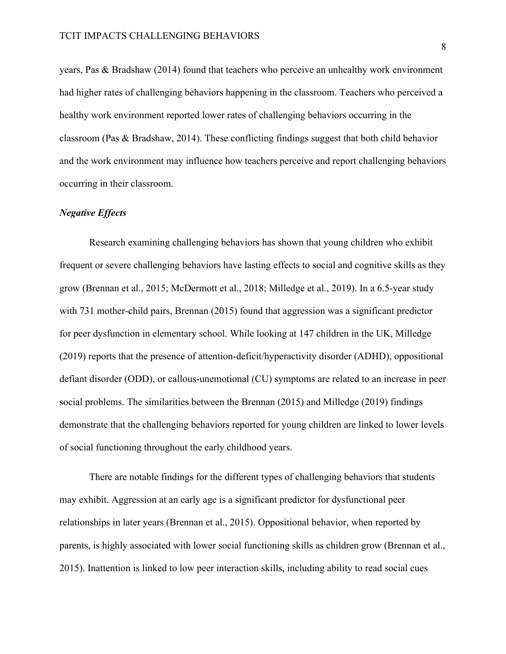years, Pas & Bradshaw (2014) found that teachers who perceive an unhealthy work environment had higher rates of challenging behaviors happening in the classroom. Teachers who perceived a healthy work environment reported lower rates of challenging behaviors occurring in the classroom (Pas & Bradshaw, 2014). These conflicting findings suggest that both child behavior and the work environment may influence how teachers perceive and report challenging behaviors occurring in their classroom.

#### *Negative Effects*

Research examining challenging behaviors has shown that young children who exhibit frequent or severe challenging behaviors have lasting effects to social and cognitive skills as they grow (Brennan et al., 2015; McDermott et al., 2018; Milledge et al., 2019). In a 6.5-year study with 731 mother-child pairs, Brennan (2015) found that aggression was a significant predictor for peer dysfunction in elementary school. While looking at 147 children in the UK, Milledge (2019) reports that the presence of attention-deficit/hyperactivity disorder (ADHD), oppositional defiant disorder (ODD), or callous-unemotional (CU) symptoms are related to an increase in peer social problems. The similarities between the Brennan (2015) and Milledge (2019) findings demonstrate that the challenging behaviors reported for young children are linked to lower levels of social functioning throughout the early childhood years.

There are notable findings for the different types of challenging behaviors that students may exhibit. Aggression at an early age is a significant predictor for dysfunctional peer relationships in later years (Brennan et al., 2015). Oppositional behavior, when reported by parents, is highly associated with lower social functioning skills as children grow (Brennan et al., 2015). Inattention is linked to low peer interaction skills, including ability to read social cues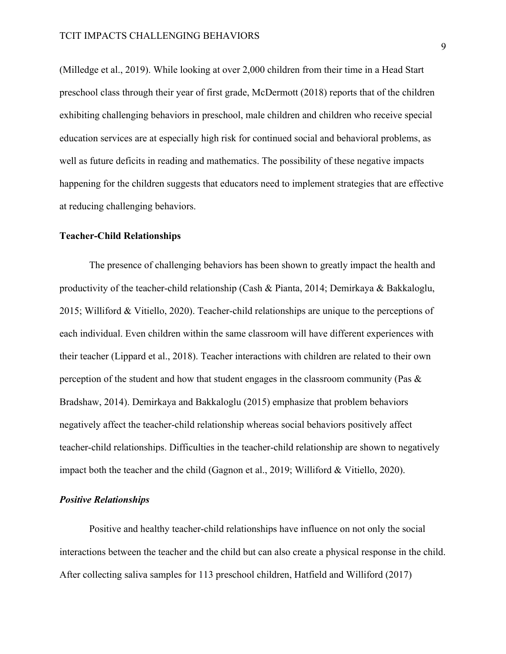(Milledge et al., 2019). While looking at over 2,000 children from their time in a Head Start preschool class through their year of first grade, McDermott (2018) reports that of the children exhibiting challenging behaviors in preschool, male children and children who receive special education services are at especially high risk for continued social and behavioral problems, as well as future deficits in reading and mathematics. The possibility of these negative impacts happening for the children suggests that educators need to implement strategies that are effective at reducing challenging behaviors.

#### **Teacher-Child Relationships**

The presence of challenging behaviors has been shown to greatly impact the health and productivity of the teacher-child relationship (Cash & Pianta, 2014; Demirkaya & Bakkaloglu, 2015; Williford & Vitiello, 2020). Teacher-child relationships are unique to the perceptions of each individual. Even children within the same classroom will have different experiences with their teacher (Lippard et al., 2018). Teacher interactions with children are related to their own perception of the student and how that student engages in the classroom community (Pas & Bradshaw, 2014). Demirkaya and Bakkaloglu (2015) emphasize that problem behaviors negatively affect the teacher-child relationship whereas social behaviors positively affect teacher-child relationships. Difficulties in the teacher-child relationship are shown to negatively impact both the teacher and the child (Gagnon et al., 2019; Williford & Vitiello, 2020).

#### *Positive Relationships*

Positive and healthy teacher-child relationships have influence on not only the social interactions between the teacher and the child but can also create a physical response in the child. After collecting saliva samples for 113 preschool children, Hatfield and Williford (2017)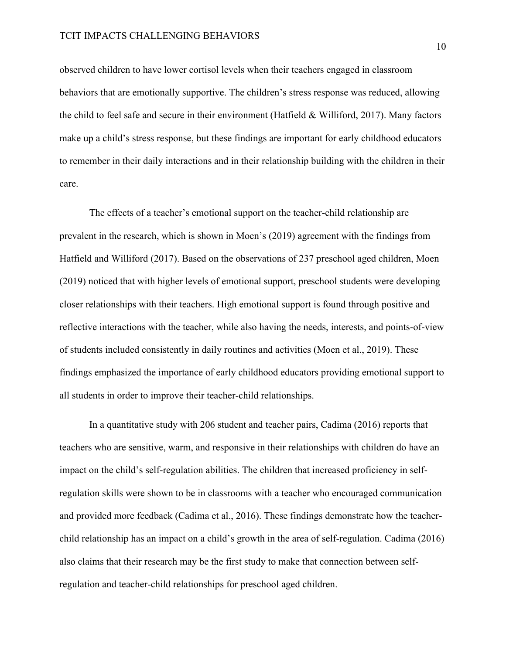#### TCIT IMPACTS CHALLENGING BEHAVIORS

observed children to have lower cortisol levels when their teachers engaged in classroom behaviors that are emotionally supportive. The children's stress response was reduced, allowing the child to feel safe and secure in their environment (Hatfield & Williford, 2017). Many factors make up a child's stress response, but these findings are important for early childhood educators to remember in their daily interactions and in their relationship building with the children in their care.

The effects of a teacher's emotional support on the teacher-child relationship are prevalent in the research, which is shown in Moen's (2019) agreement with the findings from Hatfield and Williford (2017). Based on the observations of 237 preschool aged children, Moen (2019) noticed that with higher levels of emotional support, preschool students were developing closer relationships with their teachers. High emotional support is found through positive and reflective interactions with the teacher, while also having the needs, interests, and points-of-view of students included consistently in daily routines and activities (Moen et al., 2019). These findings emphasized the importance of early childhood educators providing emotional support to all students in order to improve their teacher-child relationships.

In a quantitative study with 206 student and teacher pairs, Cadima (2016) reports that teachers who are sensitive, warm, and responsive in their relationships with children do have an impact on the child's self-regulation abilities. The children that increased proficiency in selfregulation skills were shown to be in classrooms with a teacher who encouraged communication and provided more feedback (Cadima et al., 2016). These findings demonstrate how the teacherchild relationship has an impact on a child's growth in the area of self-regulation. Cadima (2016) also claims that their research may be the first study to make that connection between selfregulation and teacher-child relationships for preschool aged children.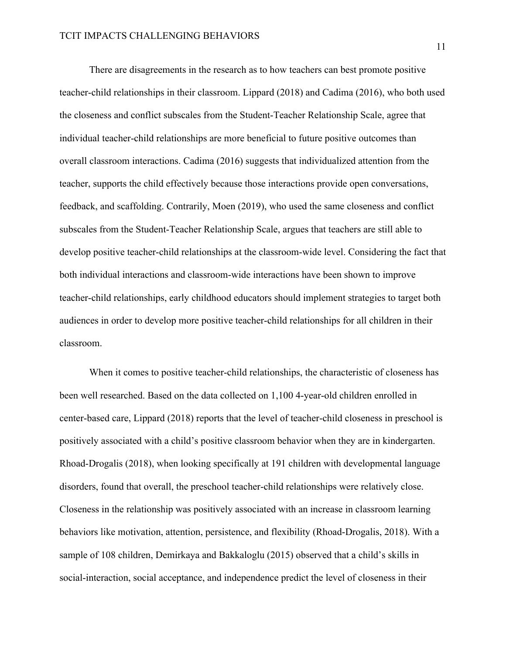There are disagreements in the research as to how teachers can best promote positive teacher-child relationships in their classroom. Lippard (2018) and Cadima (2016), who both used the closeness and conflict subscales from the Student-Teacher Relationship Scale, agree that individual teacher-child relationships are more beneficial to future positive outcomes than overall classroom interactions. Cadima (2016) suggests that individualized attention from the teacher, supports the child effectively because those interactions provide open conversations, feedback, and scaffolding. Contrarily, Moen (2019), who used the same closeness and conflict subscales from the Student-Teacher Relationship Scale, argues that teachers are still able to develop positive teacher-child relationships at the classroom-wide level. Considering the fact that both individual interactions and classroom-wide interactions have been shown to improve teacher-child relationships, early childhood educators should implement strategies to target both audiences in order to develop more positive teacher-child relationships for all children in their classroom.

When it comes to positive teacher-child relationships, the characteristic of closeness has been well researched. Based on the data collected on 1,100 4-year-old children enrolled in center-based care, Lippard (2018) reports that the level of teacher-child closeness in preschool is positively associated with a child's positive classroom behavior when they are in kindergarten. Rhoad-Drogalis (2018), when looking specifically at 191 children with developmental language disorders, found that overall, the preschool teacher-child relationships were relatively close. Closeness in the relationship was positively associated with an increase in classroom learning behaviors like motivation, attention, persistence, and flexibility (Rhoad-Drogalis, 2018). With a sample of 108 children, Demirkaya and Bakkaloglu (2015) observed that a child's skills in social-interaction, social acceptance, and independence predict the level of closeness in their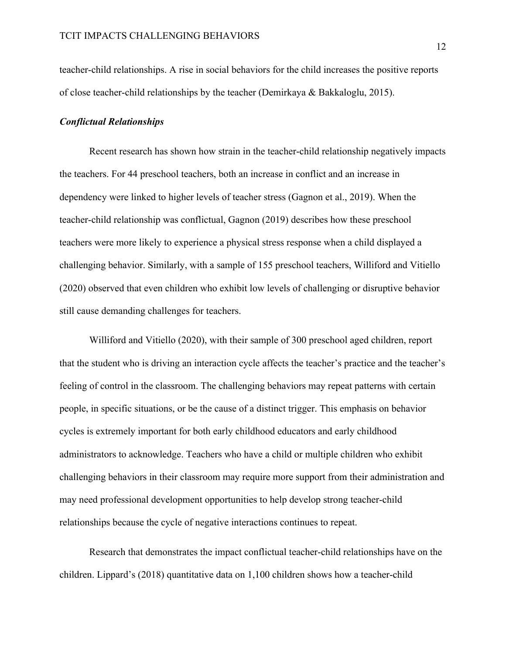teacher-child relationships. A rise in social behaviors for the child increases the positive reports of close teacher-child relationships by the teacher (Demirkaya & Bakkaloglu, 2015).

#### *Conflictual Relationships*

Recent research has shown how strain in the teacher-child relationship negatively impacts the teachers. For 44 preschool teachers, both an increase in conflict and an increase in dependency were linked to higher levels of teacher stress (Gagnon et al., 2019). When the teacher-child relationship was conflictual, Gagnon (2019) describes how these preschool teachers were more likely to experience a physical stress response when a child displayed a challenging behavior. Similarly, with a sample of 155 preschool teachers, Williford and Vitiello (2020) observed that even children who exhibit low levels of challenging or disruptive behavior still cause demanding challenges for teachers.

Williford and Vitiello (2020), with their sample of 300 preschool aged children, report that the student who is driving an interaction cycle affects the teacher's practice and the teacher's feeling of control in the classroom. The challenging behaviors may repeat patterns with certain people, in specific situations, or be the cause of a distinct trigger. This emphasis on behavior cycles is extremely important for both early childhood educators and early childhood administrators to acknowledge. Teachers who have a child or multiple children who exhibit challenging behaviors in their classroom may require more support from their administration and may need professional development opportunities to help develop strong teacher-child relationships because the cycle of negative interactions continues to repeat.

Research that demonstrates the impact conflictual teacher-child relationships have on the children. Lippard's (2018) quantitative data on 1,100 children shows how a teacher-child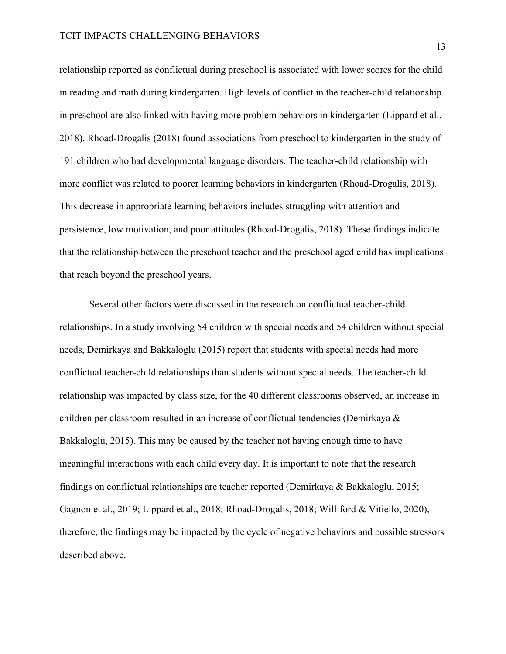relationship reported as conflictual during preschool is associated with lower scores for the child in reading and math during kindergarten. High levels of conflict in the teacher-child relationship in preschool are also linked with having more problem behaviors in kindergarten (Lippard et al., 2018). Rhoad-Drogalis (2018) found associations from preschool to kindergarten in the study of 191 children who had developmental language disorders. The teacher-child relationship with more conflict was related to poorer learning behaviors in kindergarten (Rhoad-Drogalis, 2018). This decrease in appropriate learning behaviors includes struggling with attention and persistence, low motivation, and poor attitudes (Rhoad-Drogalis, 2018). These findings indicate that the relationship between the preschool teacher and the preschool aged child has implications that reach beyond the preschool years.

Several other factors were discussed in the research on conflictual teacher-child relationships. In a study involving 54 children with special needs and 54 children without special needs, Demirkaya and Bakkaloglu (2015) report that students with special needs had more conflictual teacher-child relationships than students without special needs. The teacher-child relationship was impacted by class size, for the 40 different classrooms observed, an increase in children per classroom resulted in an increase of conflictual tendencies (Demirkaya & Bakkaloglu, 2015). This may be caused by the teacher not having enough time to have meaningful interactions with each child every day. It is important to note that the research findings on conflictual relationships are teacher reported (Demirkaya & Bakkaloglu, 2015; Gagnon et al., 2019; Lippard et al., 2018; Rhoad-Drogalis, 2018; Williford & Vitiello, 2020), therefore, the findings may be impacted by the cycle of negative behaviors and possible stressors described above.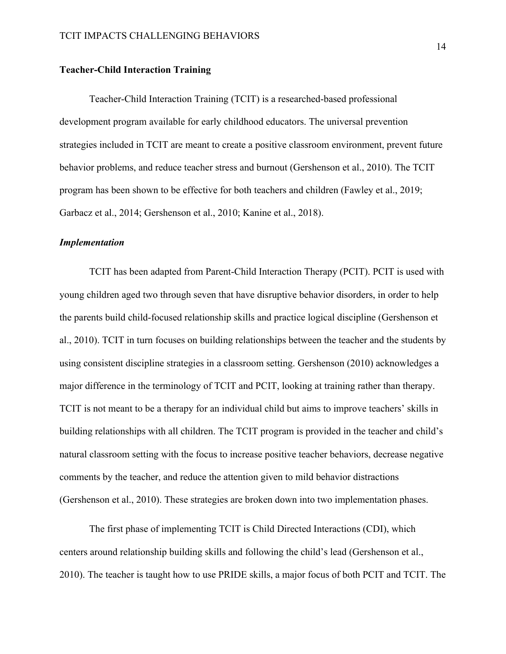#### **Teacher-Child Interaction Training**

Teacher-Child Interaction Training (TCIT) is a researched-based professional development program available for early childhood educators. The universal prevention strategies included in TCIT are meant to create a positive classroom environment, prevent future behavior problems, and reduce teacher stress and burnout (Gershenson et al., 2010). The TCIT program has been shown to be effective for both teachers and children (Fawley et al., 2019; Garbacz et al., 2014; Gershenson et al., 2010; Kanine et al., 2018).

#### *Implementation*

TCIT has been adapted from Parent-Child Interaction Therapy (PCIT). PCIT is used with young children aged two through seven that have disruptive behavior disorders, in order to help the parents build child-focused relationship skills and practice logical discipline (Gershenson et al., 2010). TCIT in turn focuses on building relationships between the teacher and the students by using consistent discipline strategies in a classroom setting. Gershenson (2010) acknowledges a major difference in the terminology of TCIT and PCIT, looking at training rather than therapy. TCIT is not meant to be a therapy for an individual child but aims to improve teachers' skills in building relationships with all children. The TCIT program is provided in the teacher and child's natural classroom setting with the focus to increase positive teacher behaviors, decrease negative comments by the teacher, and reduce the attention given to mild behavior distractions (Gershenson et al., 2010). These strategies are broken down into two implementation phases.

The first phase of implementing TCIT is Child Directed Interactions (CDI), which centers around relationship building skills and following the child's lead (Gershenson et al., 2010). The teacher is taught how to use PRIDE skills, a major focus of both PCIT and TCIT. The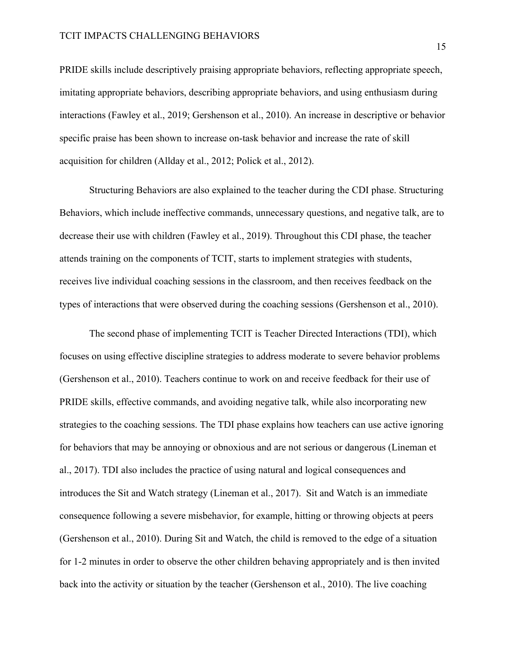PRIDE skills include descriptively praising appropriate behaviors, reflecting appropriate speech, imitating appropriate behaviors, describing appropriate behaviors, and using enthusiasm during interactions (Fawley et al., 2019; Gershenson et al., 2010). An increase in descriptive or behavior specific praise has been shown to increase on-task behavior and increase the rate of skill acquisition for children (Allday et al., 2012; Polick et al., 2012).

Structuring Behaviors are also explained to the teacher during the CDI phase. Structuring Behaviors, which include ineffective commands, unnecessary questions, and negative talk, are to decrease their use with children (Fawley et al., 2019). Throughout this CDI phase, the teacher attends training on the components of TCIT, starts to implement strategies with students, receives live individual coaching sessions in the classroom, and then receives feedback on the types of interactions that were observed during the coaching sessions (Gershenson et al., 2010).

The second phase of implementing TCIT is Teacher Directed Interactions (TDI), which focuses on using effective discipline strategies to address moderate to severe behavior problems (Gershenson et al., 2010). Teachers continue to work on and receive feedback for their use of PRIDE skills, effective commands, and avoiding negative talk, while also incorporating new strategies to the coaching sessions. The TDI phase explains how teachers can use active ignoring for behaviors that may be annoying or obnoxious and are not serious or dangerous (Lineman et al., 2017). TDI also includes the practice of using natural and logical consequences and introduces the Sit and Watch strategy (Lineman et al., 2017). Sit and Watch is an immediate consequence following a severe misbehavior, for example, hitting or throwing objects at peers (Gershenson et al., 2010). During Sit and Watch, the child is removed to the edge of a situation for 1-2 minutes in order to observe the other children behaving appropriately and is then invited back into the activity or situation by the teacher (Gershenson et al., 2010). The live coaching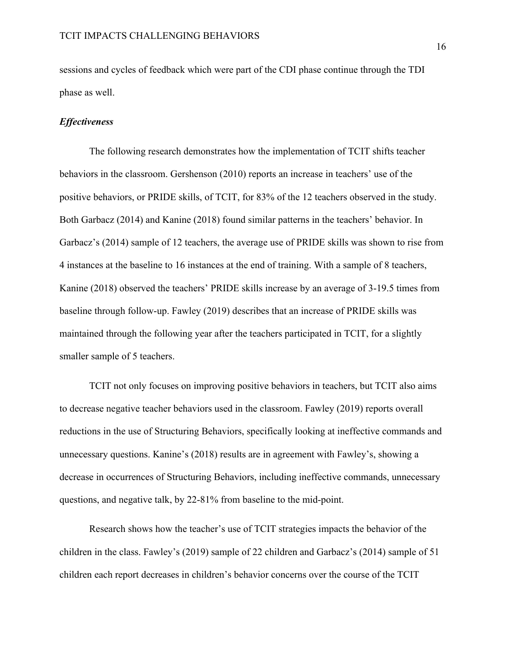sessions and cycles of feedback which were part of the CDI phase continue through the TDI phase as well.

#### *Effectiveness*

The following research demonstrates how the implementation of TCIT shifts teacher behaviors in the classroom. Gershenson (2010) reports an increase in teachers' use of the positive behaviors, or PRIDE skills, of TCIT, for 83% of the 12 teachers observed in the study. Both Garbacz (2014) and Kanine (2018) found similar patterns in the teachers' behavior. In Garbacz's (2014) sample of 12 teachers, the average use of PRIDE skills was shown to rise from 4 instances at the baseline to 16 instances at the end of training. With a sample of 8 teachers, Kanine (2018) observed the teachers' PRIDE skills increase by an average of 3-19.5 times from baseline through follow-up. Fawley (2019) describes that an increase of PRIDE skills was maintained through the following year after the teachers participated in TCIT, for a slightly smaller sample of 5 teachers.

TCIT not only focuses on improving positive behaviors in teachers, but TCIT also aims to decrease negative teacher behaviors used in the classroom. Fawley (2019) reports overall reductions in the use of Structuring Behaviors, specifically looking at ineffective commands and unnecessary questions. Kanine's (2018) results are in agreement with Fawley's, showing a decrease in occurrences of Structuring Behaviors, including ineffective commands, unnecessary questions, and negative talk, by 22-81% from baseline to the mid-point.

Research shows how the teacher's use of TCIT strategies impacts the behavior of the children in the class. Fawley's (2019) sample of 22 children and Garbacz's (2014) sample of 51 children each report decreases in children's behavior concerns over the course of the TCIT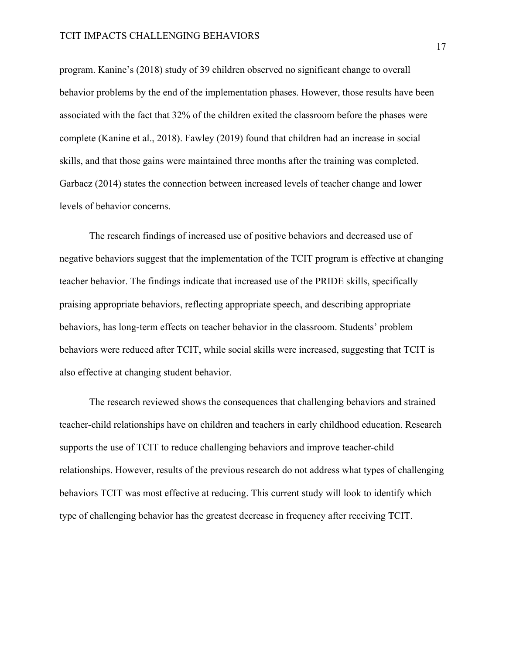program. Kanine's (2018) study of 39 children observed no significant change to overall behavior problems by the end of the implementation phases. However, those results have been associated with the fact that 32% of the children exited the classroom before the phases were complete (Kanine et al., 2018). Fawley (2019) found that children had an increase in social skills, and that those gains were maintained three months after the training was completed. Garbacz (2014) states the connection between increased levels of teacher change and lower levels of behavior concerns.

The research findings of increased use of positive behaviors and decreased use of negative behaviors suggest that the implementation of the TCIT program is effective at changing teacher behavior. The findings indicate that increased use of the PRIDE skills, specifically praising appropriate behaviors, reflecting appropriate speech, and describing appropriate behaviors, has long-term effects on teacher behavior in the classroom. Students' problem behaviors were reduced after TCIT, while social skills were increased, suggesting that TCIT is also effective at changing student behavior.

The research reviewed shows the consequences that challenging behaviors and strained teacher-child relationships have on children and teachers in early childhood education. Research supports the use of TCIT to reduce challenging behaviors and improve teacher-child relationships. However, results of the previous research do not address what types of challenging behaviors TCIT was most effective at reducing. This current study will look to identify which type of challenging behavior has the greatest decrease in frequency after receiving TCIT.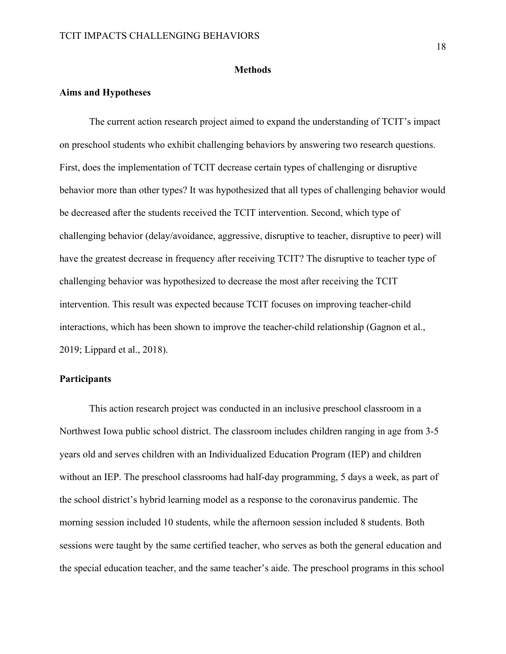#### **Methods**

#### **Aims and Hypotheses**

The current action research project aimed to expand the understanding of TCIT's impact on preschool students who exhibit challenging behaviors by answering two research questions. First, does the implementation of TCIT decrease certain types of challenging or disruptive behavior more than other types? It was hypothesized that all types of challenging behavior would be decreased after the students received the TCIT intervention. Second, which type of challenging behavior (delay/avoidance, aggressive, disruptive to teacher, disruptive to peer) will have the greatest decrease in frequency after receiving TCIT? The disruptive to teacher type of challenging behavior was hypothesized to decrease the most after receiving the TCIT intervention. This result was expected because TCIT focuses on improving teacher-child interactions, which has been shown to improve the teacher-child relationship (Gagnon et al., 2019; Lippard et al., 2018).

#### **Participants**

This action research project was conducted in an inclusive preschool classroom in a Northwest Iowa public school district. The classroom includes children ranging in age from 3-5 years old and serves children with an Individualized Education Program (IEP) and children without an IEP. The preschool classrooms had half-day programming, 5 days a week, as part of the school district's hybrid learning model as a response to the coronavirus pandemic. The morning session included 10 students, while the afternoon session included 8 students. Both sessions were taught by the same certified teacher, who serves as both the general education and the special education teacher, and the same teacher's aide. The preschool programs in this school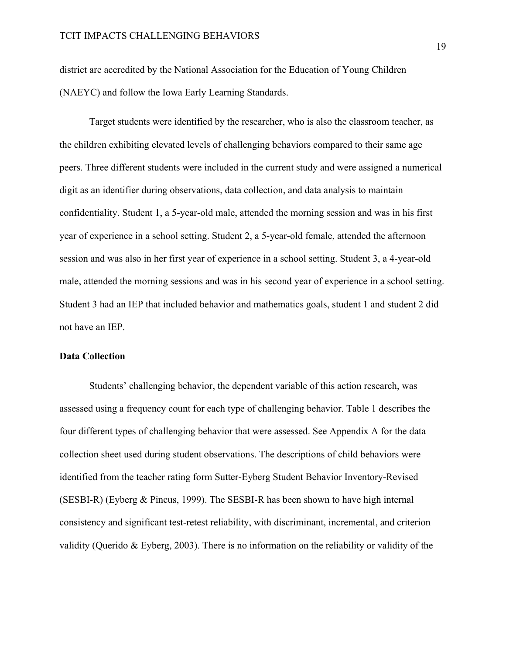district are accredited by the National Association for the Education of Young Children (NAEYC) and follow the Iowa Early Learning Standards.

Target students were identified by the researcher, who is also the classroom teacher, as the children exhibiting elevated levels of challenging behaviors compared to their same age peers. Three different students were included in the current study and were assigned a numerical digit as an identifier during observations, data collection, and data analysis to maintain confidentiality. Student 1, a 5-year-old male, attended the morning session and was in his first year of experience in a school setting. Student 2, a 5-year-old female, attended the afternoon session and was also in her first year of experience in a school setting. Student 3, a 4-year-old male, attended the morning sessions and was in his second year of experience in a school setting. Student 3 had an IEP that included behavior and mathematics goals, student 1 and student 2 did not have an IEP.

#### **Data Collection**

Students' challenging behavior, the dependent variable of this action research, was assessed using a frequency count for each type of challenging behavior. Table 1 describes the four different types of challenging behavior that were assessed. See Appendix A for the data collection sheet used during student observations. The descriptions of child behaviors were identified from the teacher rating form Sutter-Eyberg Student Behavior Inventory-Revised (SESBI-R) (Eyberg & Pincus, 1999). The SESBI-R has been shown to have high internal consistency and significant test-retest reliability, with discriminant, incremental, and criterion validity (Querido & Eyberg, 2003). There is no information on the reliability or validity of the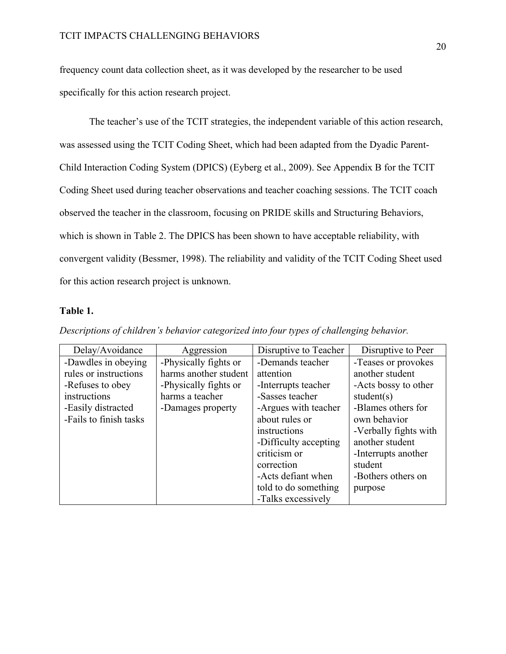frequency count data collection sheet, as it was developed by the researcher to be used specifically for this action research project.

The teacher's use of the TCIT strategies, the independent variable of this action research, was assessed using the TCIT Coding Sheet, which had been adapted from the Dyadic Parent-Child Interaction Coding System (DPICS) (Eyberg et al., 2009). See Appendix B for the TCIT Coding Sheet used during teacher observations and teacher coaching sessions. The TCIT coach observed the teacher in the classroom, focusing on PRIDE skills and Structuring Behaviors, which is shown in Table 2. The DPICS has been shown to have acceptable reliability, with convergent validity (Bessmer, 1998). The reliability and validity of the TCIT Coding Sheet used for this action research project is unknown.

#### **Table 1.**

| Delay/Avoidance        | Aggression            | Disruptive to Teacher | Disruptive to Peer    |
|------------------------|-----------------------|-----------------------|-----------------------|
| -Dawdles in obeying    | -Physically fights or | -Demands teacher      | -Teases or provokes   |
| rules or instructions  | harms another student | attention             | another student       |
| -Refuses to obey       | -Physically fights or | -Interrupts teacher   | -Acts bossy to other  |
| instructions           | harms a teacher       | -Sasses teacher       | student $(s)$         |
| -Easily distracted     | -Damages property     | -Argues with teacher  | -Blames others for    |
| -Fails to finish tasks |                       | about rules or        | own behavior          |
|                        |                       | instructions          | -Verbally fights with |
|                        |                       | -Difficulty accepting | another student       |
|                        |                       | criticism or          | -Interrupts another   |
|                        |                       | correction            | student               |
|                        |                       | -Acts defiant when    | -Bothers others on    |
|                        |                       | told to do something  | purpose               |
|                        |                       | -Talks excessively    |                       |

*Descriptions of children's behavior categorized into four types of challenging behavior.*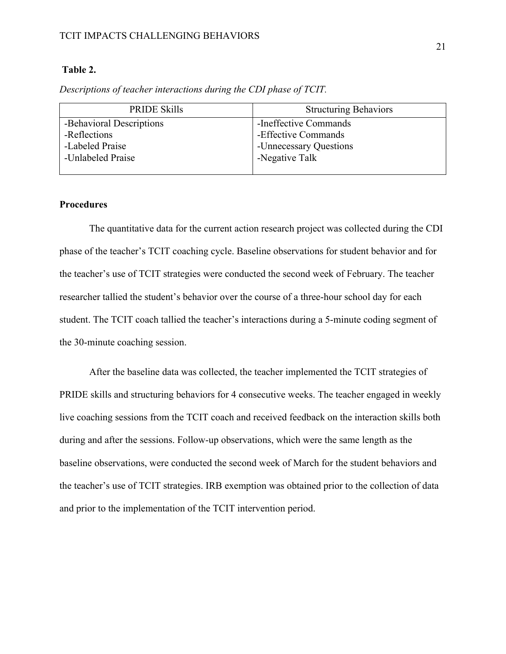#### TCIT IMPACTS CHALLENGING BEHAVIORS

#### **Table 2.**

| <b>PRIDE Skills</b>      | <b>Structuring Behaviors</b> |
|--------------------------|------------------------------|
| -Behavioral Descriptions | -Ineffective Commands        |
| -Reflections             | -Effective Commands          |
| -Labeled Praise          | -Unnecessary Questions       |
| -Unlabeled Praise        | -Negative Talk               |
|                          |                              |

*Descriptions of teacher interactions during the CDI phase of TCIT.* 

#### **Procedures**

The quantitative data for the current action research project was collected during the CDI phase of the teacher's TCIT coaching cycle. Baseline observations for student behavior and for the teacher's use of TCIT strategies were conducted the second week of February. The teacher researcher tallied the student's behavior over the course of a three-hour school day for each student. The TCIT coach tallied the teacher's interactions during a 5-minute coding segment of the 30-minute coaching session.

After the baseline data was collected, the teacher implemented the TCIT strategies of PRIDE skills and structuring behaviors for 4 consecutive weeks. The teacher engaged in weekly live coaching sessions from the TCIT coach and received feedback on the interaction skills both during and after the sessions. Follow-up observations, which were the same length as the baseline observations, were conducted the second week of March for the student behaviors and the teacher's use of TCIT strategies. IRB exemption was obtained prior to the collection of data and prior to the implementation of the TCIT intervention period.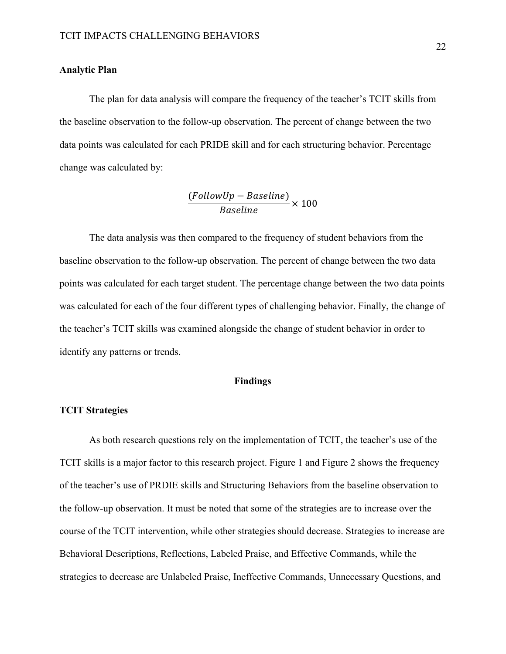#### **Analytic Plan**

The plan for data analysis will compare the frequency of the teacher's TCIT skills from the baseline observation to the follow-up observation. The percent of change between the two data points was calculated for each PRIDE skill and for each structuring behavior. Percentage change was calculated by:

$$
\frac{(FollowUp - Baseline)}{Baseline} \times 100
$$

The data analysis was then compared to the frequency of student behaviors from the baseline observation to the follow-up observation. The percent of change between the two data points was calculated for each target student. The percentage change between the two data points was calculated for each of the four different types of challenging behavior. Finally, the change of the teacher's TCIT skills was examined alongside the change of student behavior in order to identify any patterns or trends.

#### **Findings**

#### **TCIT Strategies**

As both research questions rely on the implementation of TCIT, the teacher's use of the TCIT skills is a major factor to this research project. Figure 1 and Figure 2 shows the frequency of the teacher's use of PRDIE skills and Structuring Behaviors from the baseline observation to the follow-up observation. It must be noted that some of the strategies are to increase over the course of the TCIT intervention, while other strategies should decrease. Strategies to increase are Behavioral Descriptions, Reflections, Labeled Praise, and Effective Commands, while the strategies to decrease are Unlabeled Praise, Ineffective Commands, Unnecessary Questions, and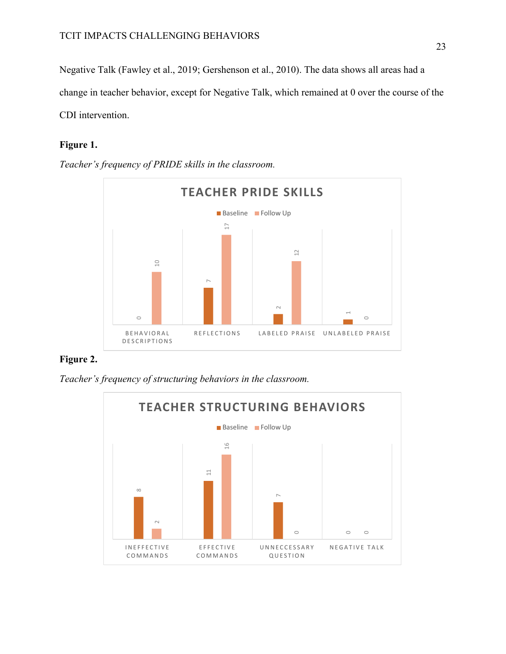Negative Talk (Fawley et al., 2019; Gershenson et al., 2010). The data shows all areas had a change in teacher behavior, except for Negative Talk, which remained at 0 over the course of the CDI intervention.

### **Figure 1.**

*Teacher's frequency of PRIDE skills in the classroom.*



### **Figure 2.**

*Teacher's frequency of structuring behaviors in the classroom.*

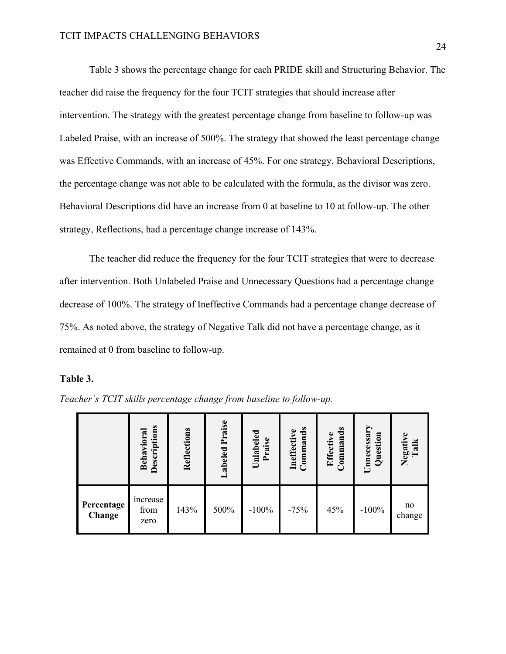Table 3 shows the percentage change for each PRIDE skill and Structuring Behavior. The teacher did raise the frequency for the four TCIT strategies that should increase after intervention. The strategy with the greatest percentage change from baseline to follow-up was Labeled Praise, with an increase of 500%. The strategy that showed the least percentage change was Effective Commands, with an increase of 45%. For one strategy, Behavioral Descriptions, the percentage change was not able to be calculated with the formula, as the divisor was zero. Behavioral Descriptions did have an increase from 0 at baseline to 10 at follow-up. The other strategy, Reflections, had a percentage change increase of 143%.

The teacher did reduce the frequency for the four TCIT strategies that were to decrease after intervention. Both Unlabeled Praise and Unnecessary Questions had a percentage change decrease of 100%. The strategy of Ineffective Commands had a percentage change decrease of 75%. As noted above, the strategy of Negative Talk did not have a percentage change, as it remained at 0 from baseline to follow-up.

#### **Table 3.**

|                      | Descriptions<br>0 <sup>12</sup><br>Beha | Reflections | Praise<br>Labeled | Unlabeled<br>Praise | ands<br>Ineffective<br>mm<br>$\bar{c}$ | Commands<br>Effective | Unnecessary<br>Question | Negativ<br>Talk |
|----------------------|-----------------------------------------|-------------|-------------------|---------------------|----------------------------------------|-----------------------|-------------------------|-----------------|
| Percentage<br>Change | increase<br>from<br>zero                | 143%        | 500%              | $-100%$             | $-75%$                                 | 45%                   | $-100%$                 | no<br>change    |

*Teacher's TCIT skills percentage change from baseline to follow-up.*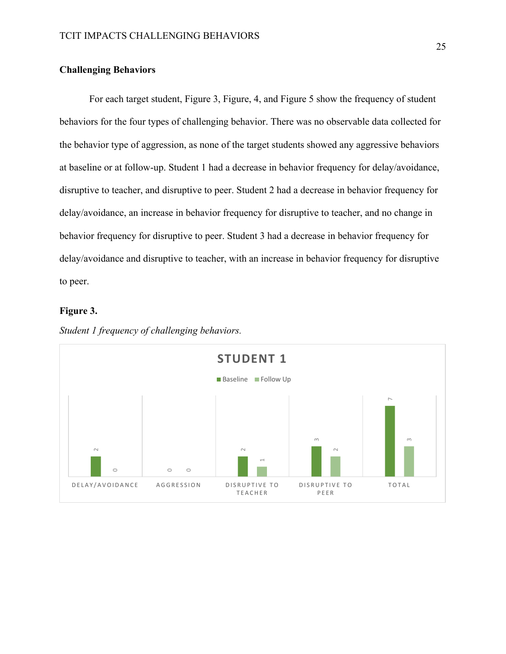#### **Challenging Behaviors**

For each target student, Figure 3, Figure, 4, and Figure 5 show the frequency of student behaviors for the four types of challenging behavior. There was no observable data collected for the behavior type of aggression, as none of the target students showed any aggressive behaviors at baseline or at follow-up. Student 1 had a decrease in behavior frequency for delay/avoidance, disruptive to teacher, and disruptive to peer. Student 2 had a decrease in behavior frequency for delay/avoidance, an increase in behavior frequency for disruptive to teacher, and no change in behavior frequency for disruptive to peer. Student 3 had a decrease in behavior frequency for delay/avoidance and disruptive to teacher, with an increase in behavior frequency for disruptive to peer.

#### **Figure 3.**



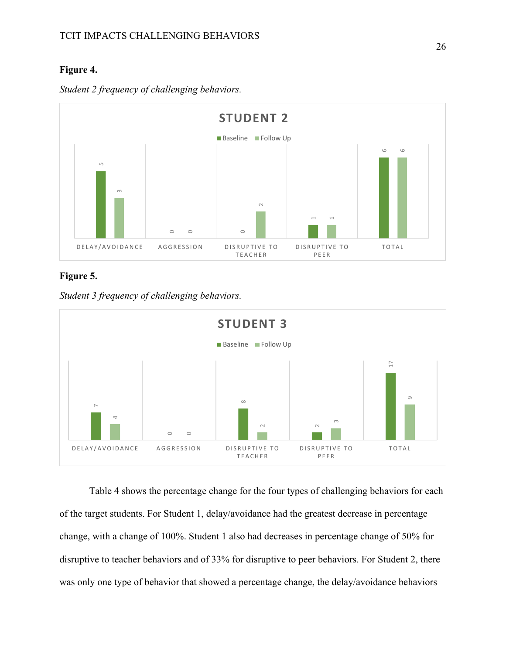### **Figure 4.**



*Student 2 frequency of challenging behaviors.*

### **Figure 5.**

*Student 3 frequency of challenging behaviors.* 



Table 4 shows the percentage change for the four types of challenging behaviors for each of the target students. For Student 1, delay/avoidance had the greatest decrease in percentage change, with a change of 100%. Student 1 also had decreases in percentage change of 50% for disruptive to teacher behaviors and of 33% for disruptive to peer behaviors. For Student 2, there was only one type of behavior that showed a percentage change, the delay/avoidance behaviors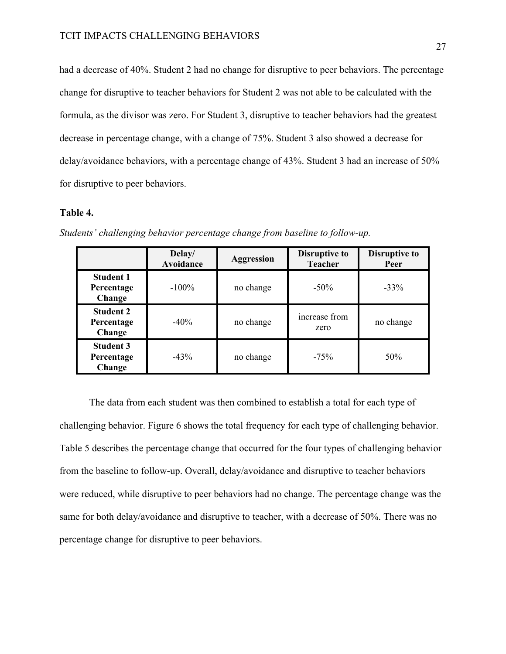had a decrease of 40%. Student 2 had no change for disruptive to peer behaviors. The percentage change for disruptive to teacher behaviors for Student 2 was not able to be calculated with the formula, as the divisor was zero. For Student 3, disruptive to teacher behaviors had the greatest decrease in percentage change, with a change of 75%. Student 3 also showed a decrease for delay/avoidance behaviors, with a percentage change of 43%. Student 3 had an increase of 50% for disruptive to peer behaviors.

#### **Table 4.**

|                                          | Delay/<br>Avoidance | <b>Aggression</b> | <b>Disruptive to</b><br><b>Teacher</b> | <b>Disruptive to</b><br>Peer |
|------------------------------------------|---------------------|-------------------|----------------------------------------|------------------------------|
| <b>Student 1</b><br>Percentage<br>Change | $-100\%$            | no change         | $-50\%$                                | $-33%$                       |
| <b>Student 2</b><br>Percentage<br>Change | $-40\%$             | no change         | increase from<br>zero                  | no change                    |
| <b>Student 3</b><br>Percentage<br>Change | $-43%$              | no change         | $-75%$                                 | 50%                          |

*Students' challenging behavior percentage change from baseline to follow-up.* 

The data from each student was then combined to establish a total for each type of challenging behavior. Figure 6 shows the total frequency for each type of challenging behavior. Table 5 describes the percentage change that occurred for the four types of challenging behavior from the baseline to follow-up. Overall, delay/avoidance and disruptive to teacher behaviors were reduced, while disruptive to peer behaviors had no change. The percentage change was the same for both delay/avoidance and disruptive to teacher, with a decrease of 50%. There was no percentage change for disruptive to peer behaviors.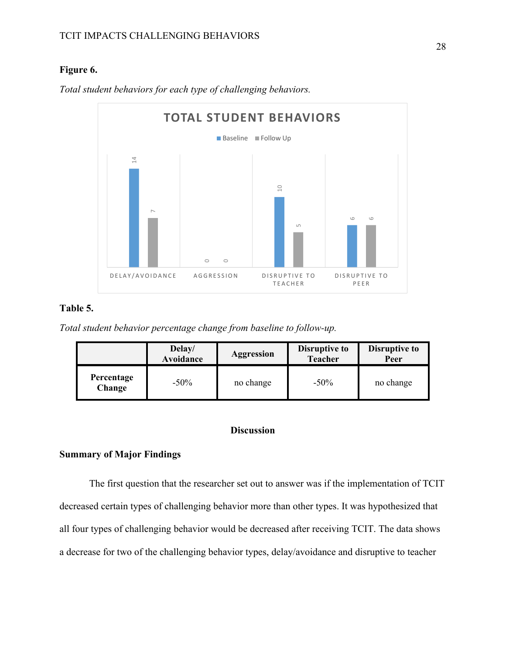### **Figure 6.**



*Total student behaviors for each type of challenging behaviors.* 

### **Table 5.**

*Total student behavior percentage change from baseline to follow-up.* 

|                      | Delay/<br>Avoidance | <b>Aggression</b> | <b>Disruptive to</b><br><b>Teacher</b> | <b>Disruptive to</b><br>Peer |
|----------------------|---------------------|-------------------|----------------------------------------|------------------------------|
| Percentage<br>Change | $-50\%$             | no change         | $-50\%$                                | no change                    |

#### **Discussion**

#### **Summary of Major Findings**

The first question that the researcher set out to answer was if the implementation of TCIT decreased certain types of challenging behavior more than other types. It was hypothesized that all four types of challenging behavior would be decreased after receiving TCIT. The data shows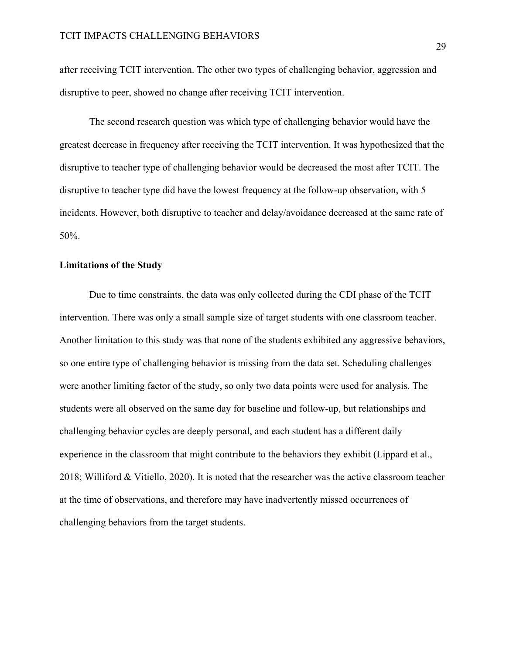after receiving TCIT intervention. The other two types of challenging behavior, aggression and disruptive to peer, showed no change after receiving TCIT intervention.

The second research question was which type of challenging behavior would have the greatest decrease in frequency after receiving the TCIT intervention. It was hypothesized that the disruptive to teacher type of challenging behavior would be decreased the most after TCIT. The disruptive to teacher type did have the lowest frequency at the follow-up observation, with 5 incidents. However, both disruptive to teacher and delay/avoidance decreased at the same rate of 50%.

#### **Limitations of the Study**

Due to time constraints, the data was only collected during the CDI phase of the TCIT intervention. There was only a small sample size of target students with one classroom teacher. Another limitation to this study was that none of the students exhibited any aggressive behaviors, so one entire type of challenging behavior is missing from the data set. Scheduling challenges were another limiting factor of the study, so only two data points were used for analysis. The students were all observed on the same day for baseline and follow-up, but relationships and challenging behavior cycles are deeply personal, and each student has a different daily experience in the classroom that might contribute to the behaviors they exhibit (Lippard et al., 2018; Williford & Vitiello, 2020). It is noted that the researcher was the active classroom teacher at the time of observations, and therefore may have inadvertently missed occurrences of challenging behaviors from the target students.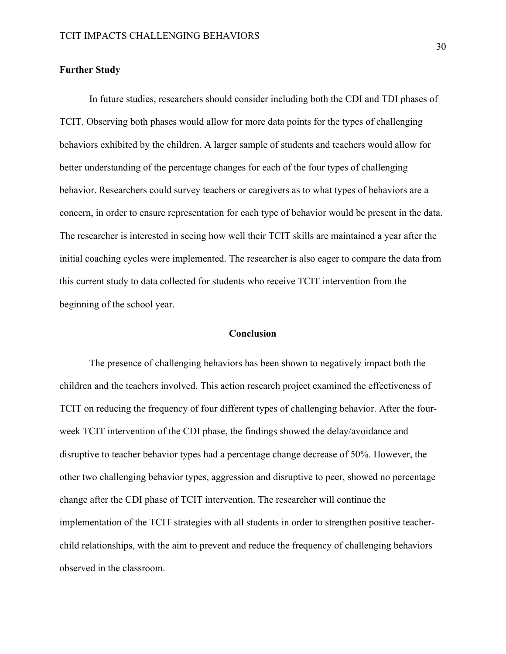#### **Further Study**

In future studies, researchers should consider including both the CDI and TDI phases of TCIT. Observing both phases would allow for more data points for the types of challenging behaviors exhibited by the children. A larger sample of students and teachers would allow for better understanding of the percentage changes for each of the four types of challenging behavior. Researchers could survey teachers or caregivers as to what types of behaviors are a concern, in order to ensure representation for each type of behavior would be present in the data. The researcher is interested in seeing how well their TCIT skills are maintained a year after the initial coaching cycles were implemented. The researcher is also eager to compare the data from this current study to data collected for students who receive TCIT intervention from the beginning of the school year.

#### **Conclusion**

The presence of challenging behaviors has been shown to negatively impact both the children and the teachers involved. This action research project examined the effectiveness of TCIT on reducing the frequency of four different types of challenging behavior. After the fourweek TCIT intervention of the CDI phase, the findings showed the delay/avoidance and disruptive to teacher behavior types had a percentage change decrease of 50%. However, the other two challenging behavior types, aggression and disruptive to peer, showed no percentage change after the CDI phase of TCIT intervention. The researcher will continue the implementation of the TCIT strategies with all students in order to strengthen positive teacherchild relationships, with the aim to prevent and reduce the frequency of challenging behaviors observed in the classroom.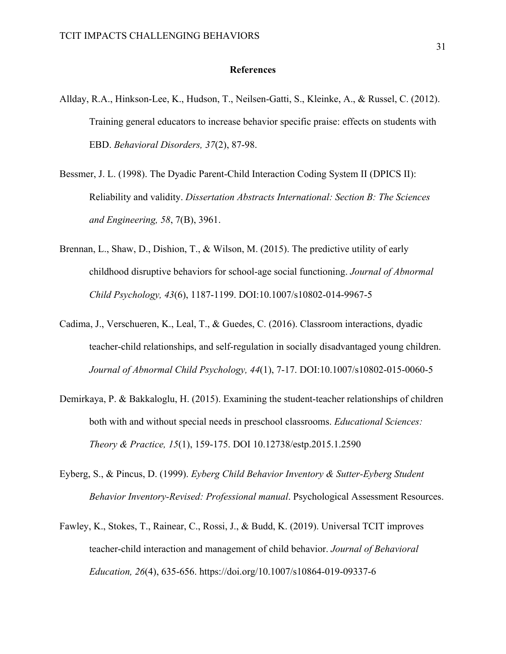#### **References**

- Allday, R.A., Hinkson-Lee, K., Hudson, T., Neilsen-Gatti, S., Kleinke, A., & Russel, C. (2012). Training general educators to increase behavior specific praise: effects on students with EBD. *Behavioral Disorders, 37*(2), 87-98.
- Bessmer, J. L. (1998). The Dyadic Parent-Child Interaction Coding System II (DPICS II): Reliability and validity. *Dissertation Abstracts International: Section B: The Sciences and Engineering, 58*, 7(B), 3961.
- Brennan, L., Shaw, D., Dishion, T., & Wilson, M. (2015). The predictive utility of early childhood disruptive behaviors for school-age social functioning. *Journal of Abnormal Child Psychology, 43*(6), 1187-1199. DOI:10.1007/s10802-014-9967-5
- Cadima, J., Verschueren, K., Leal, T., & Guedes, C. (2016). Classroom interactions, dyadic teacher-child relationships, and self-regulation in socially disadvantaged young children. *Journal of Abnormal Child Psychology, 44*(1), 7-17. DOI:10.1007/s10802-015-0060-5
- Demirkaya, P. & Bakkaloglu, H. (2015). Examining the student-teacher relationships of children both with and without special needs in preschool classrooms. *Educational Sciences: Theory & Practice, 15*(1), 159-175. DOI 10.12738/estp.2015.1.2590
- Eyberg, S., & Pincus, D. (1999). *Eyberg Child Behavior Inventory & Sutter-Eyberg Student Behavior Inventory-Revised: Professional manual*. Psychological Assessment Resources.
- Fawley, K., Stokes, T., Rainear, C., Rossi, J., & Budd, K. (2019). Universal TCIT improves teacher-child interaction and management of child behavior. *Journal of Behavioral Education, 26*(4), 635-656. https://doi.org/10.1007/s10864-019-09337-6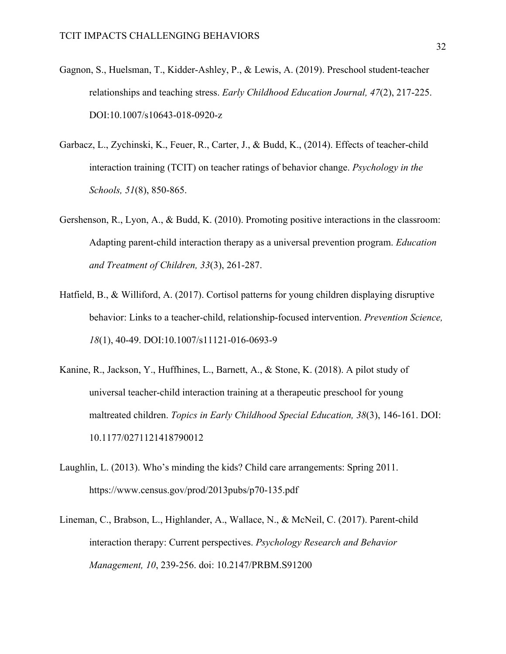- Gagnon, S., Huelsman, T., Kidder-Ashley, P., & Lewis, A. (2019). Preschool student-teacher relationships and teaching stress. *Early Childhood Education Journal, 47*(2), 217-225. DOI:10.1007/s10643-018-0920-z
- Garbacz, L., Zychinski, K., Feuer, R., Carter, J., & Budd, K., (2014). Effects of teacher-child interaction training (TCIT) on teacher ratings of behavior change. *Psychology in the Schools, 51*(8), 850-865.
- Gershenson, R., Lyon, A., & Budd, K. (2010). Promoting positive interactions in the classroom: Adapting parent-child interaction therapy as a universal prevention program. *Education and Treatment of Children, 33*(3), 261-287.
- Hatfield, B., & Williford, A. (2017). Cortisol patterns for young children displaying disruptive behavior: Links to a teacher-child, relationship-focused intervention. *Prevention Science, 18*(1), 40-49. DOI:10.1007/s11121-016-0693-9
- Kanine, R., Jackson, Y., Huffhines, L., Barnett, A., & Stone, K. (2018). A pilot study of universal teacher-child interaction training at a therapeutic preschool for young maltreated children. *Topics in Early Childhood Special Education, 38*(3), 146-161. DOI: 10.1177/0271121418790012
- Laughlin, L. (2013). Who's minding the kids? Child care arrangements: Spring 2011. https://www.census.gov/prod/2013pubs/p70-135.pdf
- Lineman, C., Brabson, L., Highlander, A., Wallace, N., & McNeil, C. (2017). Parent-child interaction therapy: Current perspectives. *Psychology Research and Behavior Management, 10*, 239-256. doi: 10.2147/PRBM.S91200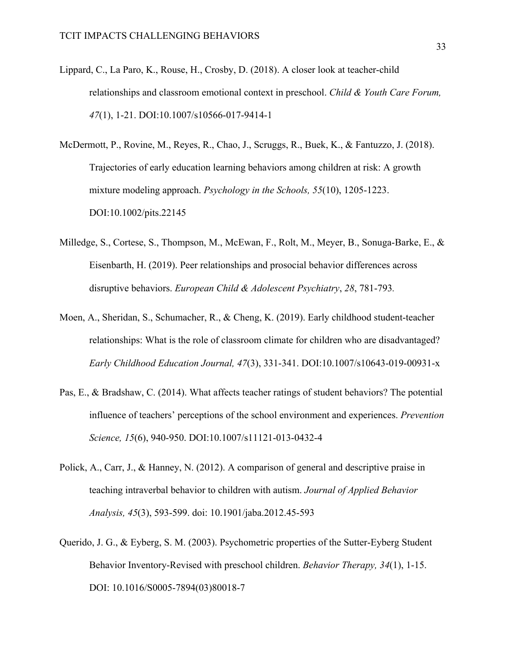- Lippard, C., La Paro, K., Rouse, H., Crosby, D. (2018). A closer look at teacher-child relationships and classroom emotional context in preschool. *Child & Youth Care Forum, 47*(1), 1-21. DOI:10.1007/s10566-017-9414-1
- McDermott, P., Rovine, M., Reyes, R., Chao, J., Scruggs, R., Buek, K., & Fantuzzo, J. (2018). Trajectories of early education learning behaviors among children at risk: A growth mixture modeling approach. *Psychology in the Schools, 55*(10), 1205-1223. DOI:10.1002/pits.22145
- Milledge, S., Cortese, S., Thompson, M., McEwan, F., Rolt, M., Meyer, B., Sonuga-Barke, E., & Eisenbarth, H. (2019). Peer relationships and prosocial behavior differences across disruptive behaviors. *European Child & Adolescent Psychiatry*, *28*, 781-793*.*
- Moen, A., Sheridan, S., Schumacher, R., & Cheng, K. (2019). Early childhood student-teacher relationships: What is the role of classroom climate for children who are disadvantaged? *Early Childhood Education Journal, 47*(3), 331-341. DOI:10.1007/s10643-019-00931-x
- Pas, E., & Bradshaw, C. (2014). What affects teacher ratings of student behaviors? The potential influence of teachers' perceptions of the school environment and experiences. *Prevention Science, 15*(6), 940-950. DOI:10.1007/s11121-013-0432-4
- Polick, A., Carr, J., & Hanney, N. (2012). A comparison of general and descriptive praise in teaching intraverbal behavior to children with autism. *Journal of Applied Behavior Analysis, 45*(3), 593-599. doi: 10.1901/jaba.2012.45-593
- Querido, J. G., & Eyberg, S. M. (2003). Psychometric properties of the Sutter-Eyberg Student Behavior Inventory-Revised with preschool children. *Behavior Therapy, 34*(1), 1-15. DOI: 10.1016/S0005-7894(03)80018-7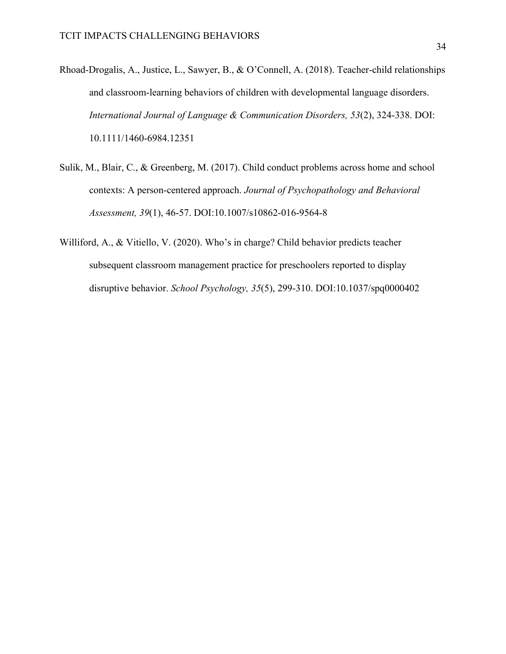- Rhoad-Drogalis, A., Justice, L., Sawyer, B., & O'Connell, A. (2018). Teacher-child relationships and classroom-learning behaviors of children with developmental language disorders. *International Journal of Language & Communication Disorders, 53*(2), 324-338. DOI: 10.1111/1460-6984.12351
- Sulik, M., Blair, C., & Greenberg, M. (2017). Child conduct problems across home and school contexts: A person-centered approach. *Journal of Psychopathology and Behavioral Assessment, 39*(1), 46-57. DOI:10.1007/s10862-016-9564-8
- Williford, A., & Vitiello, V. (2020). Who's in charge? Child behavior predicts teacher subsequent classroom management practice for preschoolers reported to display disruptive behavior. *School Psychology, 35*(5), 299-310. DOI:10.1037/spq0000402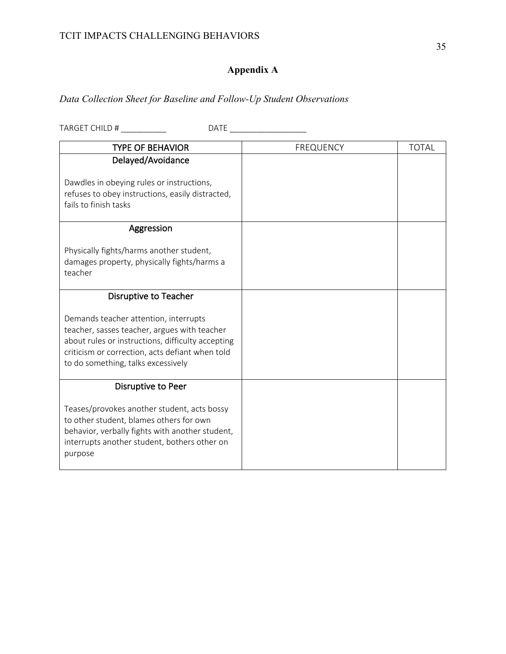## **Appendix A**

## *Data Collection Sheet for Baseline and Follow-Up Student Observations*

| TARGET CHILD #                                                                                                                                                                                                                      | DATE |                  |              |
|-------------------------------------------------------------------------------------------------------------------------------------------------------------------------------------------------------------------------------------|------|------------------|--------------|
| <b>TYPE OF BEHAVIOR</b>                                                                                                                                                                                                             |      | <b>FREQUENCY</b> | <b>TOTAL</b> |
| Delayed/Avoidance                                                                                                                                                                                                                   |      |                  |              |
| Dawdles in obeying rules or instructions,<br>refuses to obey instructions, easily distracted,<br>fails to finish tasks                                                                                                              |      |                  |              |
| Aggression                                                                                                                                                                                                                          |      |                  |              |
| Physically fights/harms another student,<br>damages property, physically fights/harms a<br>teacher                                                                                                                                  |      |                  |              |
| Disruptive to Teacher                                                                                                                                                                                                               |      |                  |              |
| Demands teacher attention, interrupts<br>teacher, sasses teacher, argues with teacher<br>about rules or instructions, difficulty accepting<br>criticism or correction, acts defiant when told<br>to do something, talks excessively |      |                  |              |
| Disruptive to Peer                                                                                                                                                                                                                  |      |                  |              |
| Teases/provokes another student, acts bossy<br>to other student, blames others for own<br>behavior, verbally fights with another student,<br>interrupts another student, bothers other on<br>purpose                                |      |                  |              |